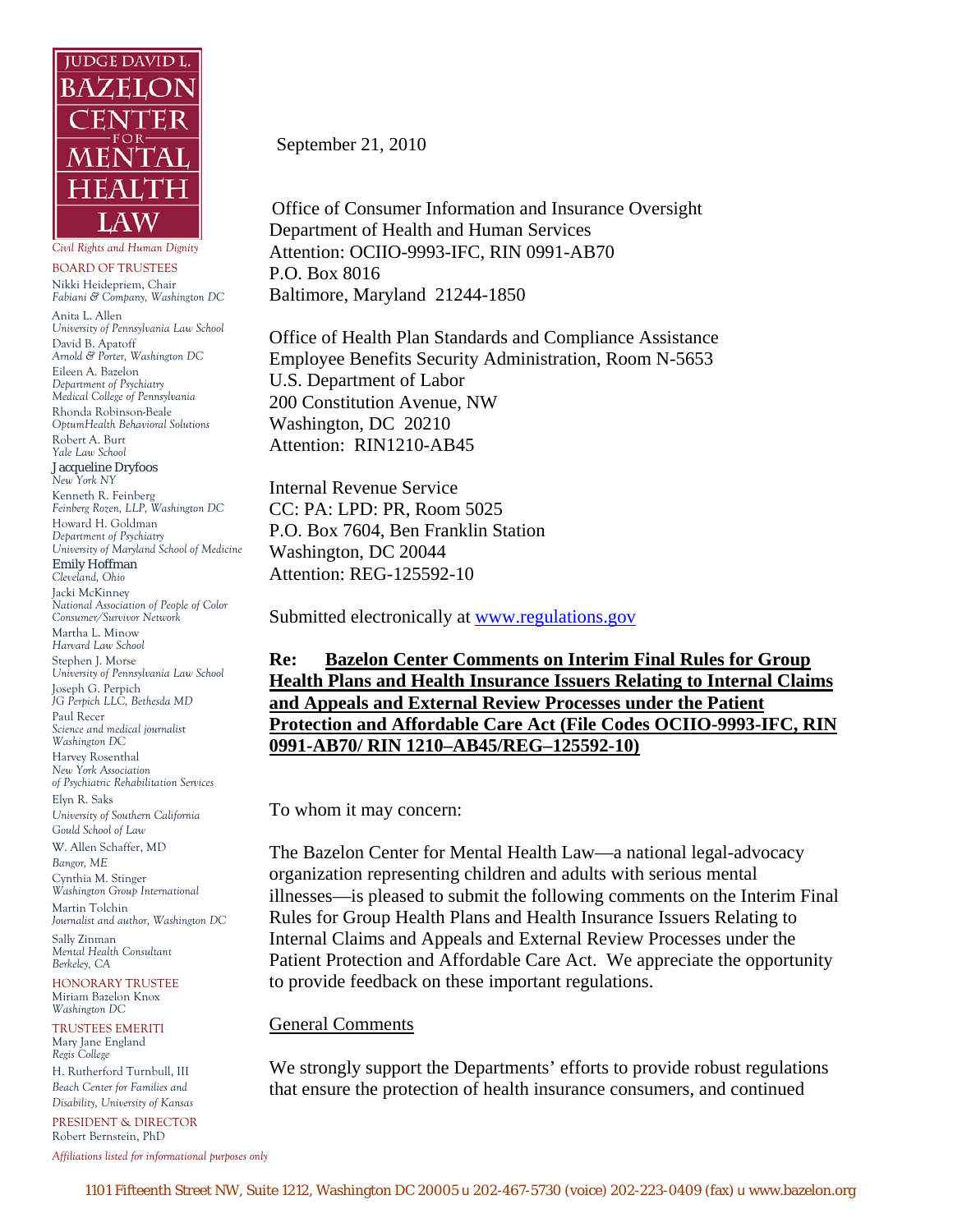

*Civil Rights and Human Dignity* 

BOARD OF TRUSTEES Nikki Heidepriem, Chair *Fabiani & Company, Washington DC*  Anita L. Allen *University of Pennsylvania Law School*  David B. Apatoff *Arnold & Porter, Washington DC*  Eileen A. Bazelon *Department of Psychiatry Medical College of Pennsylvania*  Rhonda Robinson-Beale *OptumHealth Behavioral Solutions* Robert A. Burt *Yale Law School*  Jacqueline Dryfoos *New York NY* Kenneth R. Feinberg *Feinberg Rozen, LLP, Washington DC*  Howard H. Goldman *Department of Psychiatry University of Maryland School of Medicine*  Emily Hoffman *Cleveland, Ohio* Jacki McKinney *National Association of People of Color Consumer/Survivor Network*  Martha L. Minow *Harvard Law School*  Stephen J. Morse *University of Pennsylvania Law School*  Joseph G. Perpich *JG Perpich LLC, Bethesda MD*  Paul Recer *Science and medical journalist Washington D*C Harvey Rosenthal *New York Association of Psychiatric Rehabilitation Services*  Elyn R. Saks *University of Southern California Gould School of Law*  W. Allen Schaffer, MD *Bangor, ME* Cynthia M. Stinger *Washington Group International*  Martin Tolchin *Journalist and author, Washington DC*  Sally Zinman

*Mental Health Consultant Berkeley, CA* 

HONORARY TRUSTEE Miriam Bazelon Knox *Washington DC* 

TRUSTEES EMERITI Mary Jane England *Regis College*  H. Rutherford Turnbull, III

*Beach Center for Families and Disability, University of Kansas*  PRESIDENT & DIRECTOR

Robert Bernstein, PhD

*Affiliations listed for informational purposes only*

September 21, 2010

 Office of Consumer Information and Insurance Oversight Department of Health and Human Services Attention: OCIIO-9993-IFC, RIN 0991-AB70 P.O. Box 8016 Baltimore, Maryland 21244-1850

Office of Health Plan Standards and Compliance Assistance Employee Benefits Security Administration, Room N-5653 U.S. Department of Labor 200 Constitution Avenue, NW Washington, DC 20210 Attention: RIN1210-AB45

Internal Revenue Service CC: PA: LPD: PR, Room 5025 P.O. Box 7604, Ben Franklin Station Washington, DC 20044 Attention: REG-125592-10

Submitted electronically at [www.regulations.gov](http://www.regulations.gov/)

**Re: Bazelon Center Comments on Interim Final Rules for Group Health Plans and Health Insurance Issuers Relating to Internal Claims and Appeals and External Review Processes under the Patient Protection and Affordable Care Act (File Codes OCIIO-9993-IFC, RIN 0991-AB70/ RIN 1210–AB45/REG–125592-10)**

To whom it may concern:

The Bazelon Center for Mental Health Law—a national legal-advocacy organization representing children and adults with serious mental illnesses—is pleased to submit the following comments on the Interim Final Rules for Group Health Plans and Health Insurance Issuers Relating to Internal Claims and Appeals and External Review Processes under the Patient Protection and Affordable Care Act. We appreciate the opportunity to provide feedback on these important regulations.

#### General Comments

We strongly support the Departments' efforts to provide robust regulations that ensure the protection of health insurance consumers, and continued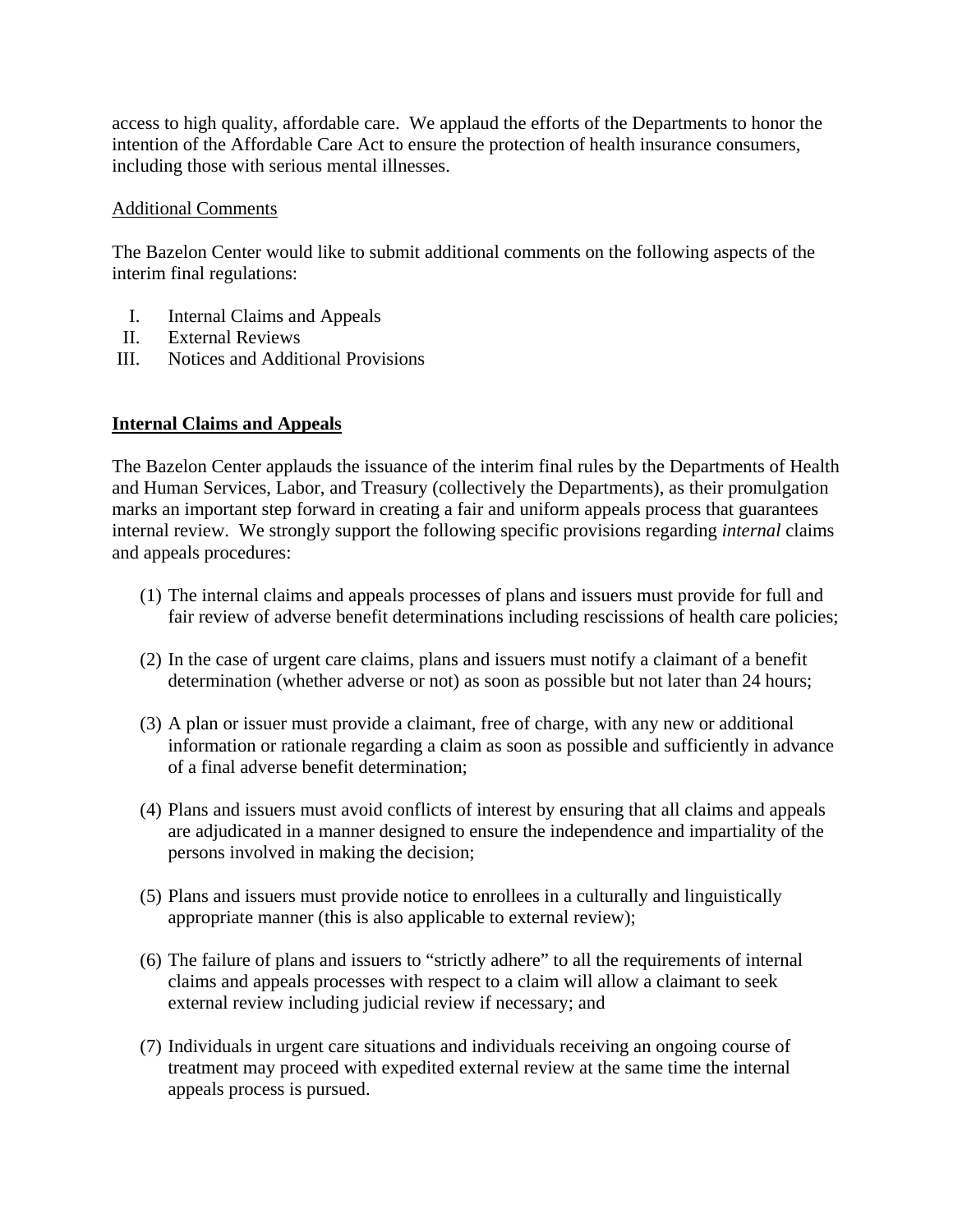access to high quality, affordable care. We applaud the efforts of the Departments to honor the intention of the Affordable Care Act to ensure the protection of health insurance consumers, including those with serious mental illnesses.

#### Additional Comments

The Bazelon Center would like to submit additional comments on the following aspects of the interim final regulations:

- I. Internal Claims and Appeals
- II. External Reviews
- III. Notices and Additional Provisions

# **Internal Claims and Appeals**

The Bazelon Center applauds the issuance of the interim final rules by the Departments of Health and Human Services, Labor, and Treasury (collectively the Departments), as their promulgation marks an important step forward in creating a fair and uniform appeals process that guarantees internal review. We strongly support the following specific provisions regarding *internal* claims and appeals procedures:

- (1) The internal claims and appeals processes of plans and issuers must provide for full and fair review of adverse benefit determinations including rescissions of health care policies;
- (2) In the case of urgent care claims, plans and issuers must notify a claimant of a benefit determination (whether adverse or not) as soon as possible but not later than 24 hours;
- (3) A plan or issuer must provide a claimant, free of charge, with any new or additional information or rationale regarding a claim as soon as possible and sufficiently in advance of a final adverse benefit determination;
- (4) Plans and issuers must avoid conflicts of interest by ensuring that all claims and appeals are adjudicated in a manner designed to ensure the independence and impartiality of the persons involved in making the decision;
- (5) Plans and issuers must provide notice to enrollees in a culturally and linguistically appropriate manner (this is also applicable to external review);
- (6) The failure of plans and issuers to "strictly adhere" to all the requirements of internal claims and appeals processes with respect to a claim will allow a claimant to seek external review including judicial review if necessary; and
- (7) Individuals in urgent care situations and individuals receiving an ongoing course of treatment may proceed with expedited external review at the same time the internal appeals process is pursued.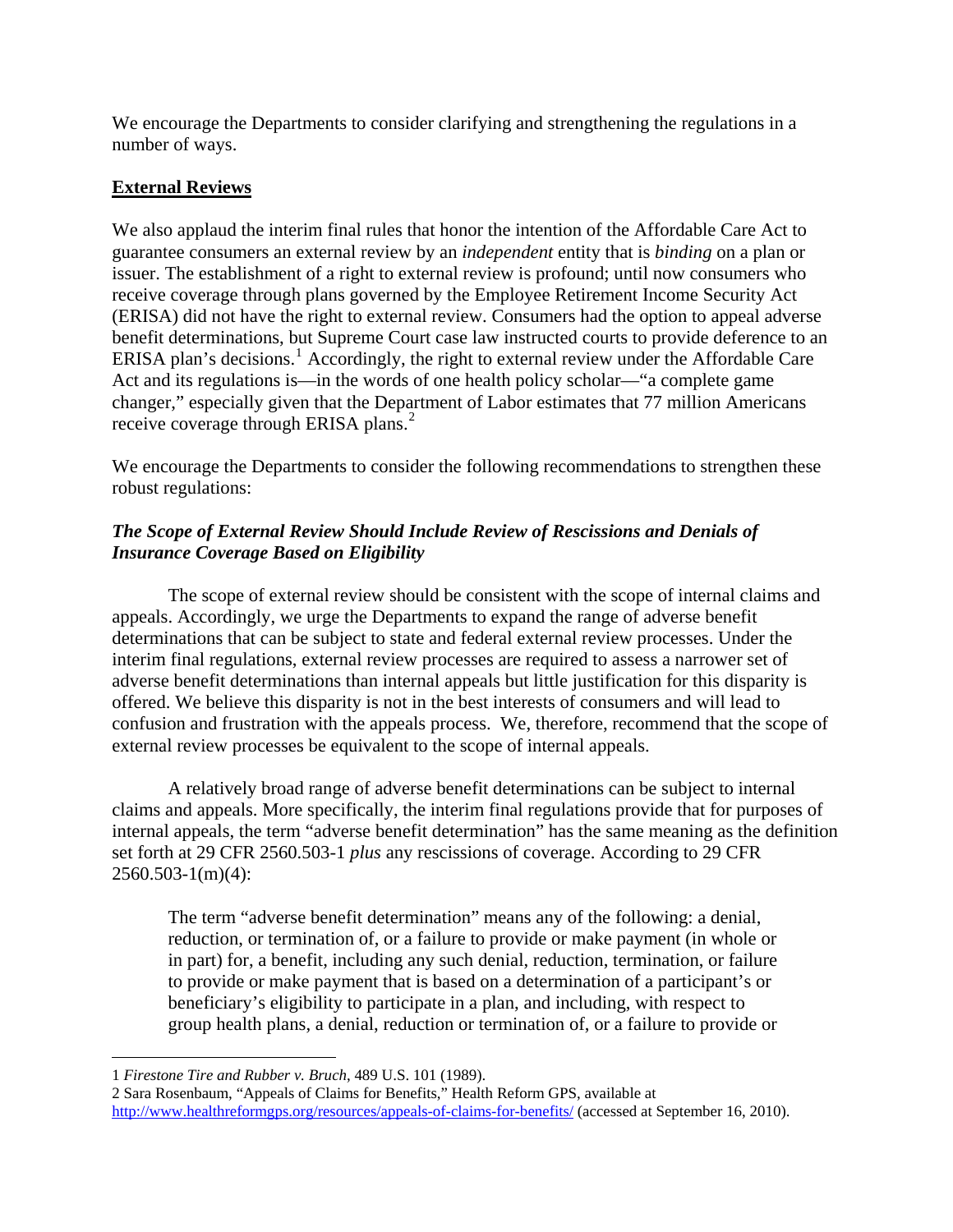We encourage the Departments to consider clarifying and strengthening the regulations in a number of ways.

## **External Reviews**

We also applaud the interim final rules that honor the intention of the Affordable Care Act to guarantee consumers an external review by an *independent* entity that is *binding* on a plan or issuer. The establishment of a right to external review is profound; until now consumers who receive coverage through plans governed by the Employee Retirement Income Security Act (ERISA) did not have the right to external review. Consumers had the option to appeal adverse benefit determinations, but Supreme Court case law instructed courts to provide deference to an ERISA plan's decisions.<sup>[1](#page-2-0)</sup> Accordingly, the right to external review under the Affordable Care Act and its regulations is—in the words of one health policy scholar—"a complete game changer," especially given that the Department of Labor estimates that 77 million Americans receive coverage through ERISA plans.<sup>[2](#page-2-1)</sup>

We encourage the Departments to consider the following recommendations to strengthen these robust regulations:

# *The Scope of External Review Should Include Review of Rescissions and Denials of Insurance Coverage Based on Eligibility*

The scope of external review should be consistent with the scope of internal claims and appeals. Accordingly, we urge the Departments to expand the range of adverse benefit determinations that can be subject to state and federal external review processes. Under the interim final regulations, external review processes are required to assess a narrower set of adverse benefit determinations than internal appeals but little justification for this disparity is offered. We believe this disparity is not in the best interests of consumers and will lead to confusion and frustration with the appeals process. We, therefore, recommend that the scope of external review processes be equivalent to the scope of internal appeals.

A relatively broad range of adverse benefit determinations can be subject to internal claims and appeals. More specifically, the interim final regulations provide that for purposes of internal appeals, the term "adverse benefit determination" has the same meaning as the definition set forth at 29 CFR 2560.503-1 *plus* any rescissions of coverage. According to 29 CFR  $2560.503-1(m)(4)$ :

The term "adverse benefit determination" means any of the following: a denial, reduction, or termination of, or a failure to provide or make payment (in whole or in part) for, a benefit, including any such denial, reduction, termination, or failure to provide or make payment that is based on a determination of a participant's or beneficiary's eligibility to participate in a plan, and including, with respect to group health plans, a denial, reduction or termination of, or a failure to provide or

<sup>1</sup> 1 *Firestone Tire and Rubber v. Bruch*, 489 U.S. 101 (1989).

<span id="page-2-1"></span><span id="page-2-0"></span><sup>2</sup> Sara Rosenbaum, "Appeals of Claims for Benefits," Health Reform GPS, available at <http://www.healthreformgps.org/resources/appeals-of-claims-for-benefits/>(accessed at September 16, 2010).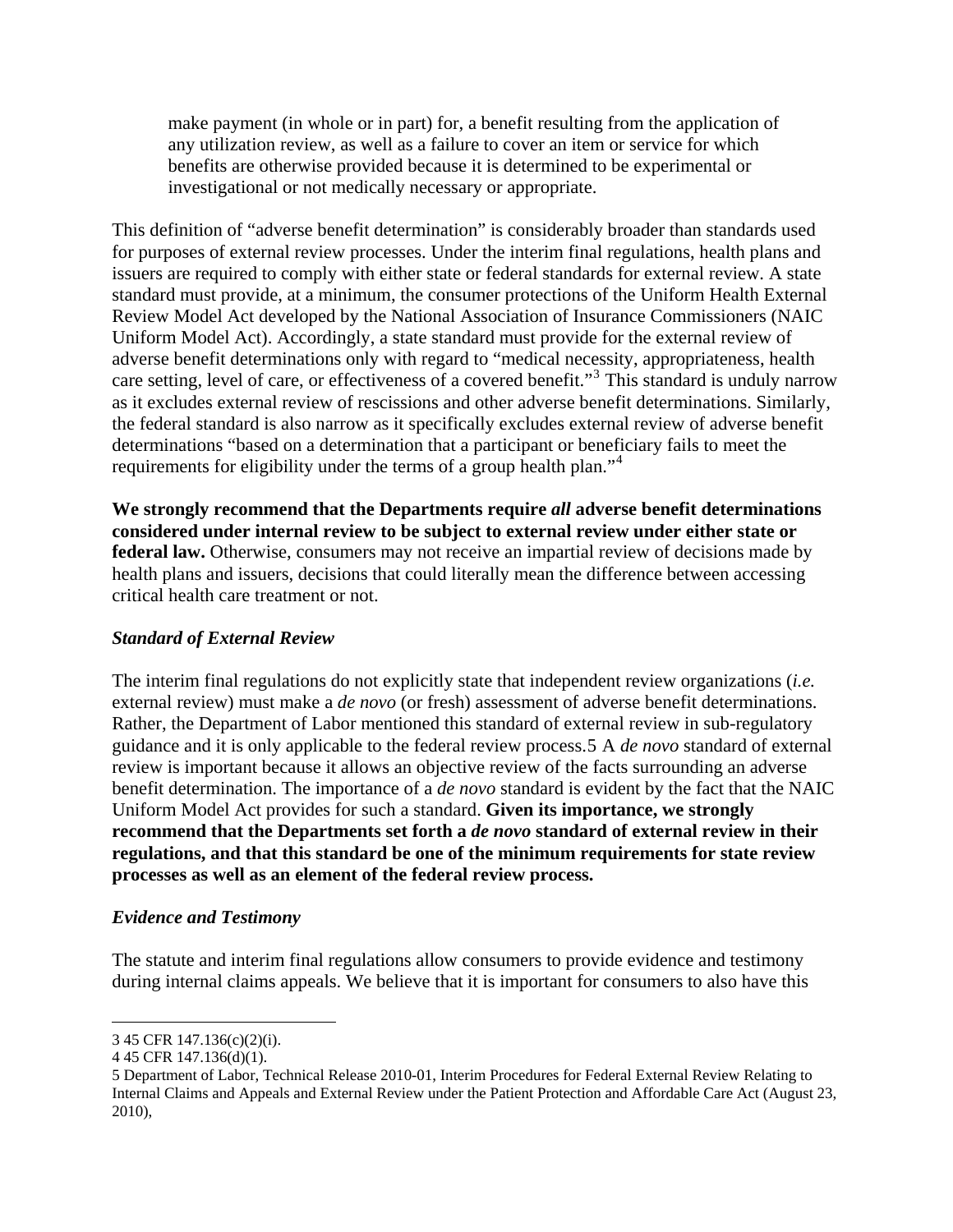make payment (in whole or in part) for, a benefit resulting from the application of any utilization review, as well as a failure to cover an item or service for which benefits are otherwise provided because it is determined to be experimental or investigational or not medically necessary or appropriate.

This definition of "adverse benefit determination" is considerably broader than standards used for purposes of external review processes. Under the interim final regulations, health plans and issuers are required to comply with either state or federal standards for external review. A state standard must provide, at a minimum, the consumer protections of the Uniform Health External Review Model Act developed by the National Association of Insurance Commissioners (NAIC Uniform Model Act). Accordingly, a state standard must provide for the external review of adverse benefit determinations only with regard to "medical necessity, appropriateness, health care setting, level of care, or effectiveness of a covered benefit."<sup>[3](#page-3-0)</sup> This standard is unduly narrow as it excludes external review of rescissions and other adverse benefit determinations. Similarly, the federal standard is also narrow as it specifically excludes external review of adverse benefit determinations "based on a determination that a participant or beneficiary fails to meet the requirements for eligibility under the terms of a group health plan."[4](#page-3-1)

**We strongly recommend that the Departments require** *all* **adverse benefit determinations considered under internal review to be subject to external review under either state or federal law.** Otherwise, consumers may not receive an impartial review of decisions made by health plans and issuers, decisions that could literally mean the difference between accessing critical health care treatment or not.

### *Standard of External Review*

The interim final regulations do not explicitly state that independent review organizations (*i.e.*  external review) must make a *de novo* (or fresh) assessment of adverse benefit determinations. Rather, the Department of Labor mentioned this standard of external review in sub-regulatory guidance and it is only applicable to the federal review process[.5](#page-3-2) A *de novo* standard of external review is important because it allows an objective review of the facts surrounding an adverse benefit determination. The importance of a *de novo* standard is evident by the fact that the NAIC Uniform Model Act provides for such a standard. **Given its importance, we strongly recommend that the Departments set forth a** *de novo* **standard of external review in their regulations, and that this standard be one of the minimum requirements for state review processes as well as an element of the federal review process.**

#### *Evidence and Testimony*

The statute and interim final regulations allow consumers to provide evidence and testimony during internal claims appeals. We believe that it is important for consumers to also have this

 $\overline{a}$ 

<span id="page-3-0"></span><sup>3 45</sup> CFR 147.136(c)(2)(i).

<span id="page-3-1"></span><sup>4 45</sup> CFR 147.136(d)(1).

<span id="page-3-2"></span><sup>5</sup> Department of Labor, Technical Release 2010-01, Interim Procedures for Federal External Review Relating to Internal Claims and Appeals and External Review under the Patient Protection and Affordable Care Act (August 23, 2010),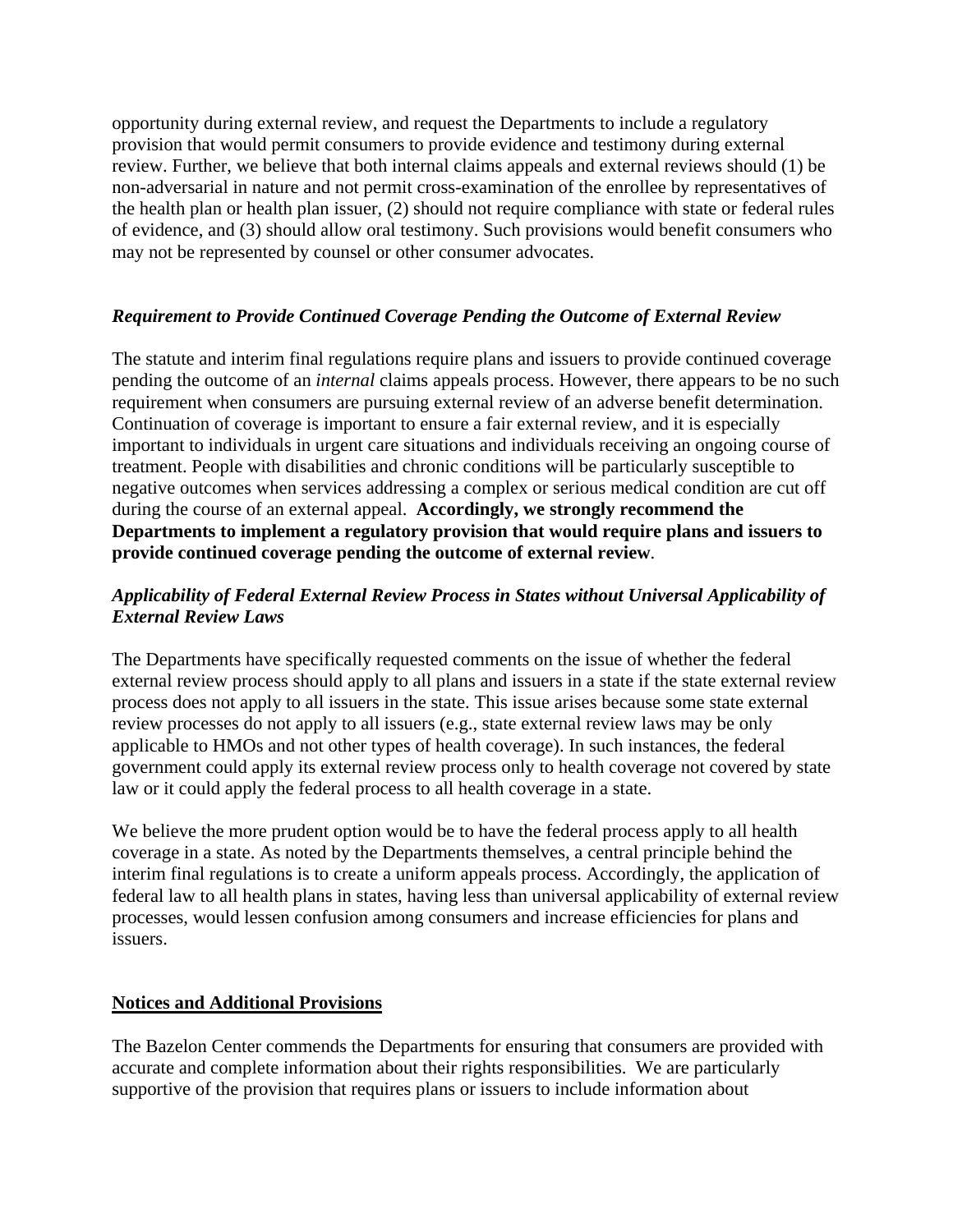opportunity during external review, and request the Departments to include a regulatory provision that would permit consumers to provide evidence and testimony during external review. Further, we believe that both internal claims appeals and external reviews should (1) be non-adversarial in nature and not permit cross-examination of the enrollee by representatives of the health plan or health plan issuer, (2) should not require compliance with state or federal rules of evidence, and (3) should allow oral testimony. Such provisions would benefit consumers who may not be represented by counsel or other consumer advocates.

#### *Requirement to Provide Continued Coverage Pending the Outcome of External Review*

The statute and interim final regulations require plans and issuers to provide continued coverage pending the outcome of an *internal* claims appeals process. However, there appears to be no such requirement when consumers are pursuing external review of an adverse benefit determination. Continuation of coverage is important to ensure a fair external review, and it is especially important to individuals in urgent care situations and individuals receiving an ongoing course of treatment. People with disabilities and chronic conditions will be particularly susceptible to negative outcomes when services addressing a complex or serious medical condition are cut off during the course of an external appeal. **Accordingly, we strongly recommend the Departments to implement a regulatory provision that would require plans and issuers to provide continued coverage pending the outcome of external review**.

## *Applicability of Federal External Review Process in States without Universal Applicability of External Review Laws*

The Departments have specifically requested comments on the issue of whether the federal external review process should apply to all plans and issuers in a state if the state external review process does not apply to all issuers in the state. This issue arises because some state external review processes do not apply to all issuers (e.g., state external review laws may be only applicable to HMOs and not other types of health coverage). In such instances, the federal government could apply its external review process only to health coverage not covered by state law or it could apply the federal process to all health coverage in a state.

We believe the more prudent option would be to have the federal process apply to all health coverage in a state. As noted by the Departments themselves, a central principle behind the interim final regulations is to create a uniform appeals process. Accordingly, the application of federal law to all health plans in states, having less than universal applicability of external review processes, would lessen confusion among consumers and increase efficiencies for plans and issuers.

### **Notices and Additional Provisions**

The Bazelon Center commends the Departments for ensuring that consumers are provided with accurate and complete information about their rights responsibilities. We are particularly supportive of the provision that requires plans or issuers to include information about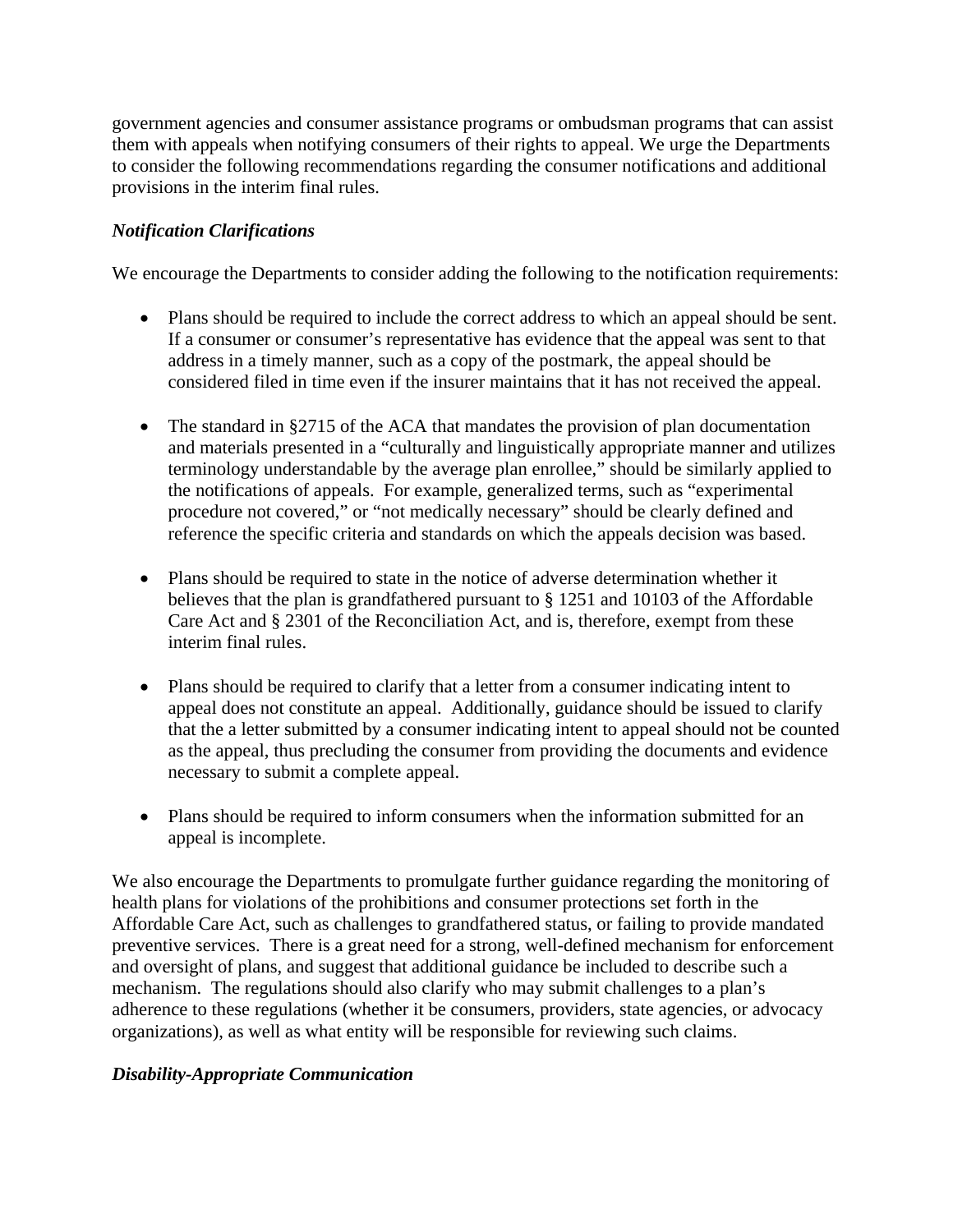government agencies and consumer assistance programs or ombudsman programs that can assist them with appeals when notifying consumers of their rights to appeal. We urge the Departments to consider the following recommendations regarding the consumer notifications and additional provisions in the interim final rules.

## *Notification Clarifications*

We encourage the Departments to consider adding the following to the notification requirements:

- Plans should be required to include the correct address to which an appeal should be sent. If a consumer or consumer's representative has evidence that the appeal was sent to that address in a timely manner, such as a copy of the postmark, the appeal should be considered filed in time even if the insurer maintains that it has not received the appeal.
- The standard in §2715 of the ACA that mandates the provision of plan documentation and materials presented in a "culturally and linguistically appropriate manner and utilizes terminology understandable by the average plan enrollee," should be similarly applied to the notifications of appeals. For example, generalized terms, such as "experimental procedure not covered," or "not medically necessary" should be clearly defined and reference the specific criteria and standards on which the appeals decision was based.
- Plans should be required to state in the notice of adverse determination whether it believes that the plan is grandfathered pursuant to § 1251 and 10103 of the Affordable Care Act and § 2301 of the Reconciliation Act, and is, therefore, exempt from these interim final rules.
- Plans should be required to clarify that a letter from a consumer indicating intent to appeal does not constitute an appeal. Additionally, guidance should be issued to clarify that the a letter submitted by a consumer indicating intent to appeal should not be counted as the appeal, thus precluding the consumer from providing the documents and evidence necessary to submit a complete appeal.
- Plans should be required to inform consumers when the information submitted for an appeal is incomplete.

We also encourage the Departments to promulgate further guidance regarding the monitoring of health plans for violations of the prohibitions and consumer protections set forth in the Affordable Care Act, such as challenges to grandfathered status, or failing to provide mandated preventive services. There is a great need for a strong, well-defined mechanism for enforcement and oversight of plans, and suggest that additional guidance be included to describe such a mechanism. The regulations should also clarify who may submit challenges to a plan's adherence to these regulations (whether it be consumers, providers, state agencies, or advocacy organizations), as well as what entity will be responsible for reviewing such claims.

### *Disability-Appropriate Communication*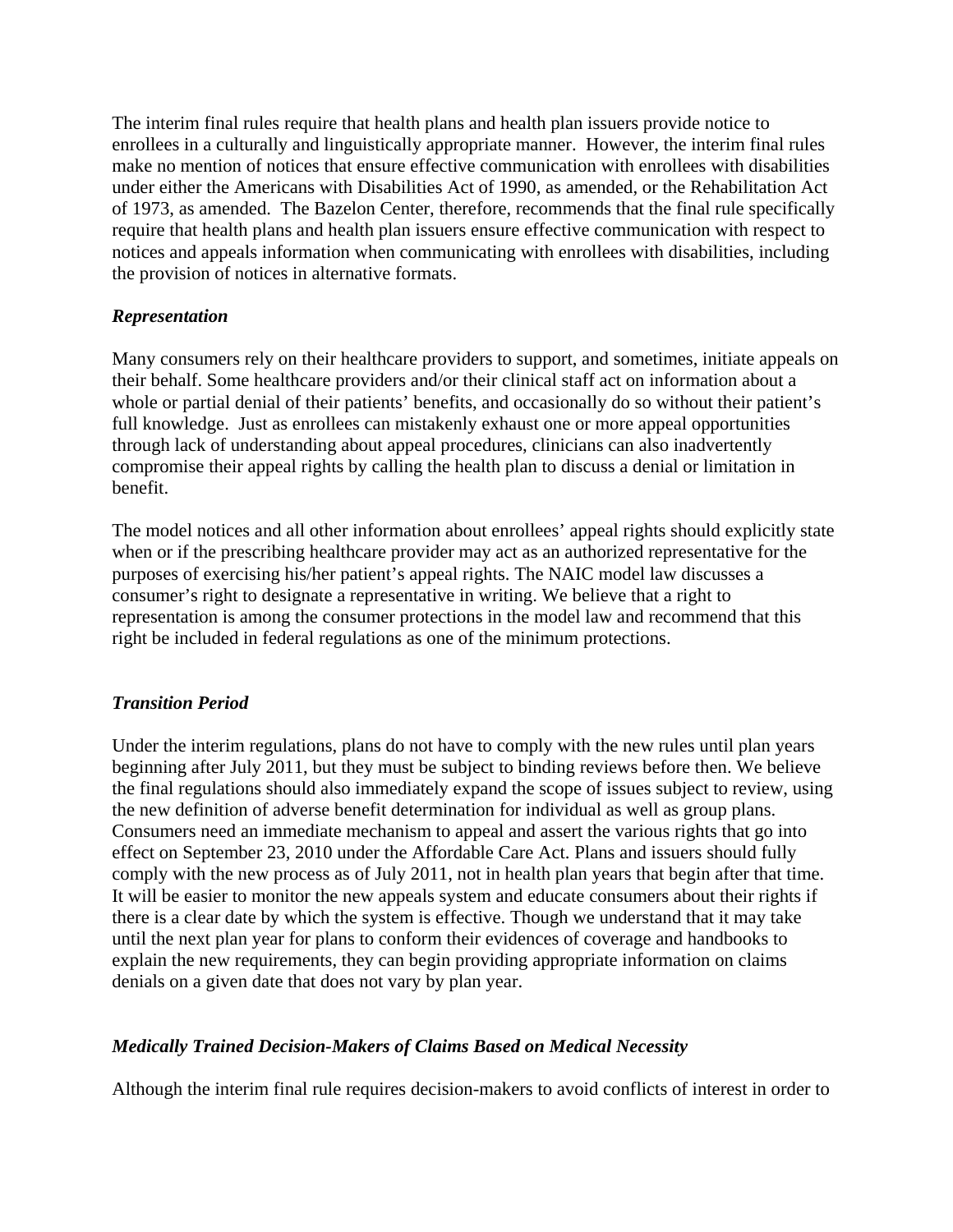The interim final rules require that health plans and health plan issuers provide notice to enrollees in a culturally and linguistically appropriate manner. However, the interim final rules make no mention of notices that ensure effective communication with enrollees with disabilities under either the Americans with Disabilities Act of 1990, as amended, or the Rehabilitation Act of 1973, as amended. The Bazelon Center, therefore, recommends that the final rule specifically require that health plans and health plan issuers ensure effective communication with respect to notices and appeals information when communicating with enrollees with disabilities, including the provision of notices in alternative formats.

#### *Representation*

Many consumers rely on their healthcare providers to support, and sometimes, initiate appeals on their behalf. Some healthcare providers and/or their clinical staff act on information about a whole or partial denial of their patients' benefits, and occasionally do so without their patient's full knowledge. Just as enrollees can mistakenly exhaust one or more appeal opportunities through lack of understanding about appeal procedures, clinicians can also inadvertently compromise their appeal rights by calling the health plan to discuss a denial or limitation in benefit.

The model notices and all other information about enrollees' appeal rights should explicitly state when or if the prescribing healthcare provider may act as an authorized representative for the purposes of exercising his/her patient's appeal rights. The NAIC model law discusses a consumer's right to designate a representative in writing. We believe that a right to representation is among the consumer protections in the model law and recommend that this right be included in federal regulations as one of the minimum protections.

#### *Transition Period*

Under the interim regulations, plans do not have to comply with the new rules until plan years beginning after July 2011, but they must be subject to binding reviews before then. We believe the final regulations should also immediately expand the scope of issues subject to review, using the new definition of adverse benefit determination for individual as well as group plans. Consumers need an immediate mechanism to appeal and assert the various rights that go into effect on September 23, 2010 under the Affordable Care Act. Plans and issuers should fully comply with the new process as of July 2011, not in health plan years that begin after that time. It will be easier to monitor the new appeals system and educate consumers about their rights if there is a clear date by which the system is effective. Though we understand that it may take until the next plan year for plans to conform their evidences of coverage and handbooks to explain the new requirements, they can begin providing appropriate information on claims denials on a given date that does not vary by plan year.

### *Medically Trained Decision-Makers of Claims Based on Medical Necessity*

Although the interim final rule requires decision-makers to avoid conflicts of interest in order to